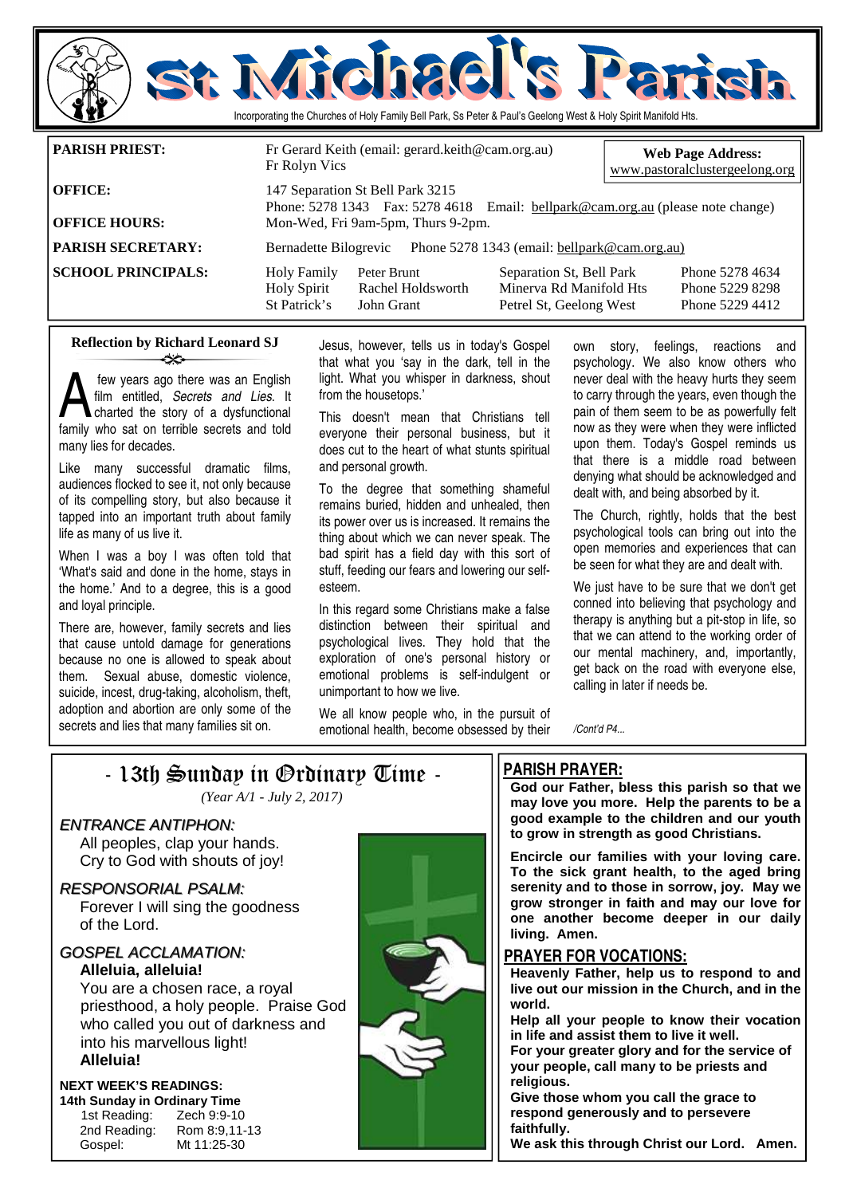

| <b>PARISH PRIEST:</b>     | Fr Rolyn Vics                      | Fr Gerard Keith (email: gerard.keith@cam.org.au) |                                              | <b>Web Page Address:</b><br>www.pastoralclustergeelong.org                      |  |  |
|---------------------------|------------------------------------|--------------------------------------------------|----------------------------------------------|---------------------------------------------------------------------------------|--|--|
| <b>OFFICE:</b>            |                                    | 147 Separation St Bell Park 3215                 |                                              |                                                                                 |  |  |
|                           |                                    |                                                  |                                              | Phone: 5278 1343 Fax: 5278 4618 Email: bellpark@cam.org.au (please note change) |  |  |
| <b>OFFICE HOURS:</b>      | Mon-Wed, Fri 9am-5pm, Thurs 9-2pm. |                                                  |                                              |                                                                                 |  |  |
| <b>PARISH SECRETARY:</b>  | Bernadette Bilogrevic              |                                                  | Phone 5278 1343 (email: bellpark@cam.org.au) |                                                                                 |  |  |
| <b>SCHOOL PRINCIPALS:</b> | <b>Holy Family</b>                 | Peter Brunt                                      | Separation St, Bell Park                     | Phone 5278 4634                                                                 |  |  |
|                           | <b>Holy Spirit</b>                 | Rachel Holdsworth                                | Minerva Rd Manifold Hts                      | Phone 5229 8298                                                                 |  |  |
|                           | St Patrick's                       | John Grant                                       | Petrel St, Geelong West                      | Phone 5229 4412                                                                 |  |  |

#### **Reflection by Richard Leonard SJ**  తం

**A** few years ago there was an English<br>film entitled, *Secrets and Lies*. It<br>family who sat on terrible secrets and told film entitled, *Secrets and Lies*. It charted the story of a dysfunctional family who sat on terrible secrets and told many lies for decades.

Like many successful dramatic films, audiences flocked to see it, not only because of its compelling story, but also because it tapped into an important truth about family life as many of us live it.

When I was a boy I was often told that 'What's said and done in the home, stays in the home.' And to a degree, this is a good and loyal principle.

There are, however, family secrets and lies that cause untold damage for generations because no one is allowed to speak about them. Sexual abuse, domestic violence, suicide, incest, drug-taking, alcoholism, theft, adoption and abortion are only some of the secrets and lies that many families sit on.

Jesus, however, tells us in today's Gospel that what you 'say in the dark, tell in the light. What you whisper in darkness, shout from the housetops.'

This doesn't mean that Christians tell everyone their personal business, but it does cut to the heart of what stunts spiritual and personal growth.

To the degree that something shameful remains buried, hidden and unhealed, then its power over us is increased. It remains the thing about which we can never speak. The bad spirit has a field day with this sort of stuff, feeding our fears and lowering our selfesteem.

In this regard some Christians make a false distinction between their spiritual and psychological lives. They hold that the exploration of one's personal history or emotional problems is self-indulgent or unimportant to how we live.

We all know people who, in the pursuit of emotional health, become obsessed by their own story, feelings, reactions and psychology. We also know others who never deal with the heavy hurts they seem to carry through the years, even though the pain of them seem to be as powerfully felt now as they were when they were inflicted upon them. Today's Gospel reminds us that there is a middle road between denying what should be acknowledged and dealt with, and being absorbed by it.

The Church, rightly, holds that the best psychological tools can bring out into the open memories and experiences that can be seen for what they are and dealt with.

We just have to be sure that we don't get conned into believing that psychology and therapy is anything but a pit-stop in life, so that we can attend to the working order of our mental machinery, and, importantly, get back on the road with everyone else, calling in later if needs be.

*/Cont'd P4...* 

### $-$  13th Sunday in Ordinary Time  $-$

*(Year A/1 - July 2, 2017)* 

#### ENTRANCE ANTIPHON:

 All peoples, clap your hands. Cry to God with shouts of joy!

#### RESPONSORIAL PSALM:

 Forever I will sing the goodness of the Lord.

#### GOSPEL ACCLAMATION:

**Alleluia, alleluia!** 

You are a chosen race, a royal priesthood, a holy people. Praise God who called you out of darkness and into his marvellous light! **Alleluia!** 

#### **NEXT WEEK'S READINGS:**

**14th Sunday in Ordinary Time**  1st Reading: Zech 9:9-10 2nd Reading: Rom 8:9,11-13 Gospel: Mt 11:25-30



### **PARISH PRAYER:**

**God our Father, bless this parish so that we may love you more. Help the parents to be a good example to the children and our youth to grow in strength as good Christians.** 

**Encircle our families with your loving care. To the sick grant health, to the aged bring serenity and to those in sorrow, joy. May we grow stronger in faith and may our love for one another become deeper in our daily living. Amen.** 

#### **PRAYER FOR VOCATIONS:**

**Heavenly Father, help us to respond to and live out our mission in the Church, and in the world.** 

**Help all your people to know their vocation in life and assist them to live it well.** 

**For your greater glory and for the service of your people, call many to be priests and religious.** 

**Give those whom you call the grace to respond generously and to persevere faithfully.** 

**We ask this through Christ our Lord. Amen.**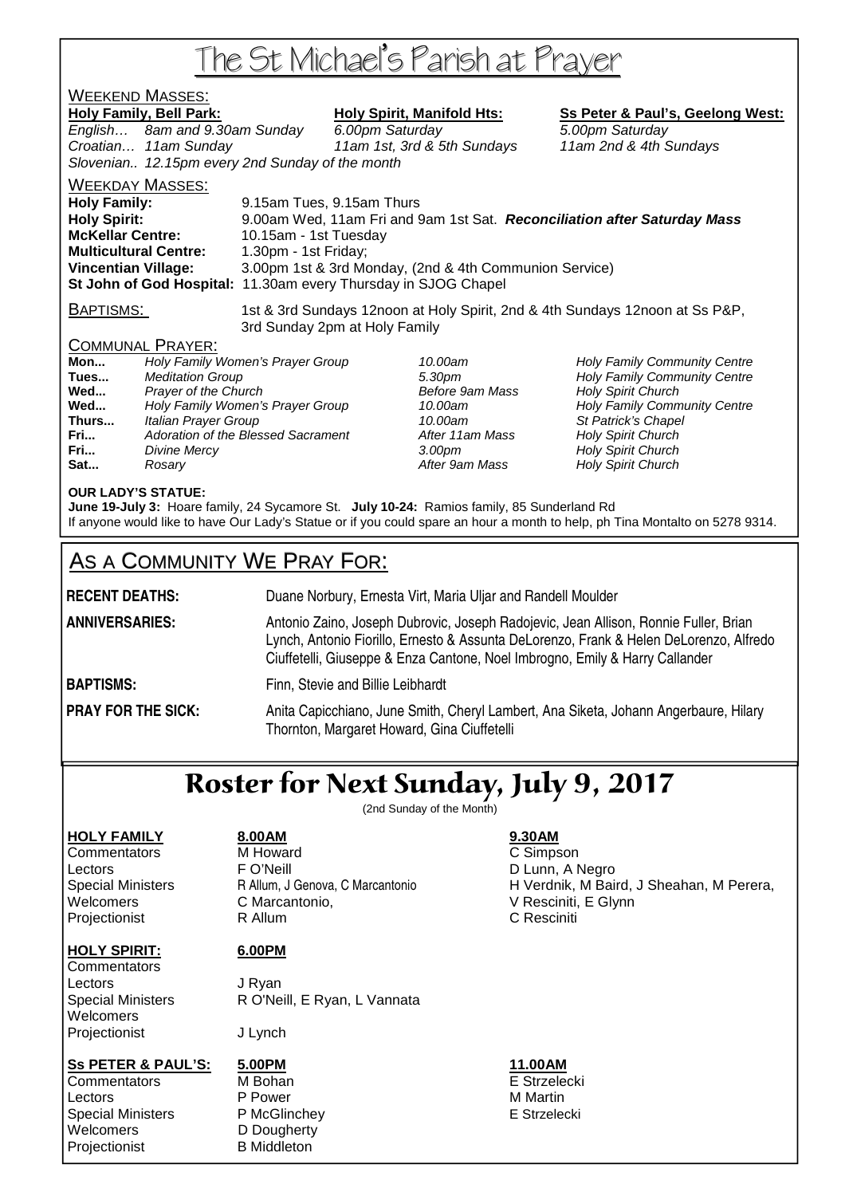# The St Michael's Parish at Prayer

### WEEKEND MASSES:

Holy Family, Bell Park: Holy Spirit, Manifold Hts: Ss Peter & Paul's, Geelong West:

English... 8am and 9.30am Sunday 6.00pm Saturday 6.00 5.00pm Saturday Croatian… 11am Sunday 11am 1st, 3rd & 5th Sundays 11am 2nd & 4th Sundays Slovenian.. 12.15pm every 2nd Sunday of the month

WEEKDAY MASSES:

**Holy Family:** 9.15am Tues, 9.15am Thurs **Holy Spirit:** 9.00am Wed, 11am Fri and 9am 1st Sat. **Reconciliation after Saturday Mass McKellar Centre:** 10.15am - 1st Tuesday **Multicultural Centre:** 1.30pm - 1st Friday; **Vincentian Village:** 3.00pm 1st & 3rd Monday, (2nd & 4th Communion Service) **St John of God Hospital:** 11.30am every Thursday in SJOG Chapel

BAPTISMS: 1st & 3rd Sundays 12noon at Holy Spirit, 2nd & 4th Sundays 12noon at Ss P&P, 3rd Sunday 2pm at Holy Family

#### COMMUNAL PRAYER:

| Mon   | Holy Family Women's Prayer Group   |
|-------|------------------------------------|
| Tues  | <b>Meditation Group</b>            |
| Wed   | Prayer of the Church               |
| Wed   | Holy Family Women's Prayer Group   |
| Thurs | Italian Prayer Group               |
| Fri   | Adoration of the Blessed Sacrament |
| Fri   | <b>Divine Mercy</b>                |
| Sat   | Rosarv                             |

**Before 9am Mass Holy Spirit Church Before 9am Mass Holy Spirit Church After 11am Mass Holy Spirit Church Franch 3.00pm** Holy Spirit Church After 9am Mass **Holy Spirit Church** 

10.00am **Holy Family Community Centre Tues 3.30pm Holy Family Community Centre** 10.00am **Holy Family Community Centre** 10.00am St Patrick's Chapel

#### **OUR LADY'S STATUE:**

**June 19-July 3:** Hoare family, 24 Sycamore St. **July 10-24:** Ramios family, 85 Sunderland Rd If anyone would like to have Our Lady's Statue or if you could spare an hour a month to help, ph Tina Montalto on 5278 9314.

## AS A COMMUNITY WE PRAY FOR:

**RECENT DEATHS:** Duane Norbury, Ernesta Virt, Maria Uljar and Randell Moulder

**ANNIVERSARIES:** Antonio Zaino, Joseph Dubrovic, Joseph Radojevic, Jean Allison, Ronnie Fuller, Brian Lynch, Antonio Fiorillo, Ernesto & Assunta DeLorenzo, Frank & Helen DeLorenzo, Alfredo Ciuffetelli, Giuseppe & Enza Cantone, Noel Imbrogno, Emily & Harry Callander

**BAPTISMS:** Finn, Stevie and Billie Leibhardt

**PRAY FOR THE SICK:** Anita Capicchiano, June Smith, Cheryl Lambert, Ana Siketa, Johann Angerbaure, Hilary Thornton, Margaret Howard, Gina Ciuffetelli

## Roster for Next Sunday, July 9, 2017

(2nd Sunday of the Month)

### **HOLY FAMILY 8.00AM 9.30AM Commentators** M Howard **C Simpson** Lectors **FO'Neill** FO'Neill **D** Lunn, A Negro Welcomers C Marcantonio, V Resciniti, E Glynn Projectionist **R** Allum **C Resciniti**

### **HOLY SPIRIT: 6.00PM**

**Commentators** Lectors **J** Ryan **Welcomers** Projectionist J Lynch

Special Ministers R O'Neill, E Ryan, L Vannata

#### **Ss PETER & PAUL'S: 5.00PM 11.00AM**

Commentators M Bohan E Strzelecki Lectors **P** Power **P** Power M M Martin Special Ministers **P McGlinchey Community** E Strzelecki Welcomers **D** D Dougherty Projectionist B Middleton

- 
- 

Special Ministers **R** Allum, J Genova, C Marcantonio **H** Verdnik, M Baird, J Sheahan, M Perera,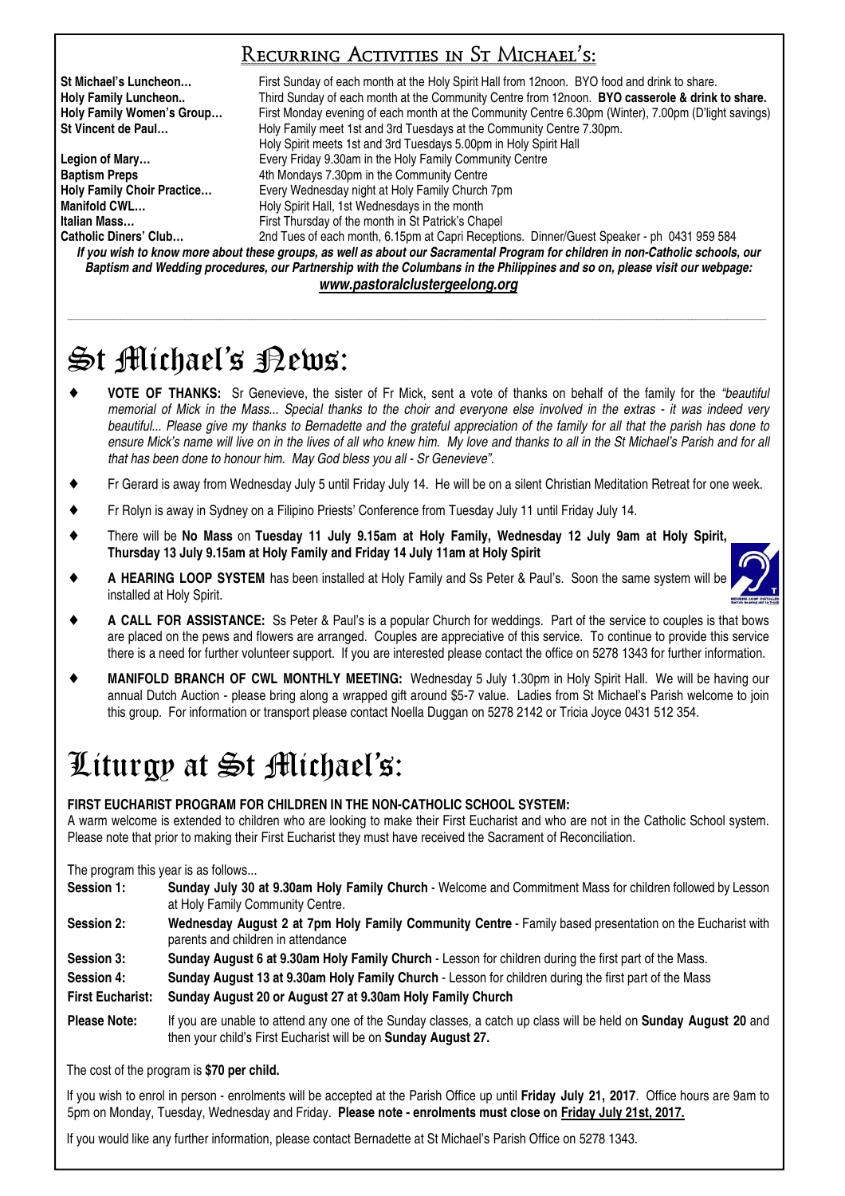### Recurring Activities in St Michael's:

**St Michael's Luncheon…** First Sunday of each month at the Holy Spirit Hall from 12noon. BYO food and drink to share. **Holy Family Luncheon..** Third Sunday of each month at the Community Centre from 12noon. **BYO casserole & drink to share. Holy Family Women's Group…** First Monday evening of each month at the Community Centre 6.30pm (Winter), 7.00pm (D'light savings) **St Vincent de Paul…** Holy Family meet 1st and 3rd Tuesdays at the Community Centre 7.30pm. Holy Spirit meets 1st and 3rd Tuesdays 5.00pm in Holy Spirit Hall **Legion of Mary…** Every Friday 9.30am in the Holy Family Community Centre **Baptism Preps 4th Mondays 7.30pm in the Community Centre Holy Family Choir Practice…** Every Wednesday night at Holy Family Church 7pm **Manifold CWL... Holy Spirit Hall, 1st Wednesdays in the month Italian Mass…** First Thursday of the month in St Patrick's Chapel 2nd Tues of each month, 6.15pm at Capri Receptions. Dinner/Guest Speaker - ph 0431 959 584

*If you wish to know more about these groups, as well as about our Sacramental Program for children in non-Catholic schools, our Baptism and Wedding procedures, our Partnership with the Columbans in the Philippines and so on, please visit our webpage: www.pastoralclustergeelong.org*

\_\_\_\_\_\_\_\_\_\_\_\_\_\_\_\_\_\_\_\_\_\_\_\_\_\_\_\_\_\_\_\_\_\_\_\_\_\_\_\_\_\_\_\_\_\_\_\_\_\_\_\_\_\_\_\_\_\_\_\_\_\_\_\_\_\_\_\_\_\_\_\_\_\_\_\_\_\_\_\_\_\_\_\_\_\_\_\_\_\_\_\_\_\_\_\_\_\_\_\_\_\_\_\_\_\_\_\_\_\_\_\_\_\_\_\_\_\_\_\_\_\_\_\_\_\_\_\_\_\_\_\_\_\_\_\_\_\_\_\_\_\_\_\_\_\_\_\_\_\_\_\_\_\_\_\_\_\_\_\_\_\_\_\_\_\_\_\_\_\_\_\_\_\_\_\_\_\_\_\_\_\_\_\_\_\_\_\_\_\_\_\_\_\_\_\_\_

# St Michael's Rews:

- ♦ **VOTE OF THANKS:** Sr Genevieve, the sister of Fr Mick, sent a vote of thanks on behalf of the family for the *"beautiful memorial of Mick in the Mass... Special thanks to the choir and everyone else involved in the extras - it was indeed very beautiful... Please give my thanks to Bernadette and the grateful appreciation of the family for all that the parish has done to ensure Mick's name will live on in the lives of all who knew him. My love and thanks to all in the St Michael's Parish and for all that has been done to honour him. May God bless you all - Sr Genevieve".*
- ♦ Fr Gerard is away from Wednesday July 5 until Friday July 14. He will be on a silent Christian Meditation Retreat for one week.
- ♦ Fr Rolyn is away in Sydney on a Filipino Priests' Conference from Tuesday July 11 until Friday July 14.
- ♦ There will be **No Mass** on **Tuesday 11 July 9.15am at Holy Family, Wednesday 12 July 9am at Holy Spirit, Thursday 13 July 9.15am at Holy Family and Friday 14 July 11am at Holy Spirit**
- A HEARING LOOP SYSTEM has been installed at Holy Family and Ss Peter & Paul's. Soon the same system will be installed at Holy Spirit.
- A CALL FOR ASSISTANCE: Ss Peter & Paul's is a popular Church for weddings. Part of the service to couples is that bows are placed on the pews and flowers are arranged. Couples are appreciative of this service. To continue to provide this service there is a need for further volunteer support. If you are interested please contact the office on 5278 1343 for further information.
- ♦ **MANIFOLD BRANCH OF CWL MONTHLY MEETING:** Wednesday 5 July 1.30pm in Holy Spirit Hall. We will be having our annual Dutch Auction - please bring along a wrapped gift around \$5-7 value. Ladies from St Michael's Parish welcome to join this group. For information or transport please contact Noella Duggan on 5278 2142 or Tricia Joyce 0431 512 354.

# Liturgy at St Michael's:

#### **FIRST EUCHARIST PROGRAM FOR CHILDREN IN THE NON-CATHOLIC SCHOOL SYSTEM:**

A warm welcome is extended to children who are looking to make their First Eucharist and who are not in the Catholic School system. Please note that prior to making their First Eucharist they must have received the Sacrament of Reconciliation.

#### The program this year is as follows...

- **Session 1: Sunday July 30 at 9.30am Holy Family Church** Welcome and Commitment Mass for children followed by Lesson at Holy Family Community Centre.
- **Session 2: Wednesday August 2 at 7pm Holy Family Community Centre** Family based presentation on the Eucharist with parents and children in attendance
- **Session 3: Sunday August 6 at 9.30am Holy Family Church** Lesson for children during the first part of the Mass.
- **Session 4: Sunday August 13 at 9.30am Holy Family Church** Lesson for children during the first part of the Mass
- **First Eucharist: Sunday August 20 or August 27 at 9.30am Holy Family Church**
- **Please Note:** If you are unable to attend any one of the Sunday classes, a catch up class will be held on **Sunday August 20** and then your child's First Eucharist will be on **Sunday August 27.**

#### The cost of the program is **\$70 per child.**

If you wish to enrol in person - enrolments will be accepted at the Parish Office up until **Friday July 21, 2017**. Office hours are 9am to 5pm on Monday, Tuesday, Wednesday and Friday. **Please note - enrolments must close on Friday July 21st, 2017.**

If you would like any further information, please contact Bernadette at St Michael's Parish Office on 5278 1343.